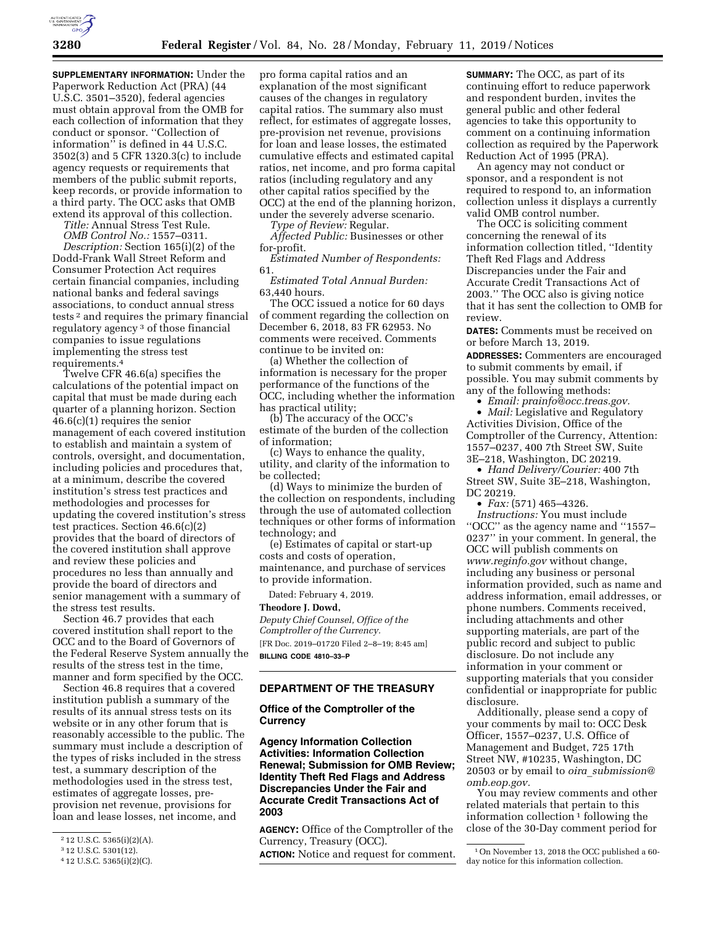

**SUPPLEMENTARY INFORMATION:** Under the Paperwork Reduction Act (PRA) (44 U.S.C. 3501–3520), federal agencies must obtain approval from the OMB for each collection of information that they conduct or sponsor. ''Collection of information'' is defined in 44 U.S.C. 3502(3) and 5 CFR 1320.3(c) to include agency requests or requirements that members of the public submit reports, keep records, or provide information to a third party. The OCC asks that OMB extend its approval of this collection.

*Title:* Annual Stress Test Rule.

*OMB Control No.:* 1557–0311. *Description:* Section 165(i)(2) of the Dodd-Frank Wall Street Reform and Consumer Protection Act requires certain financial companies, including national banks and federal savings associations, to conduct annual stress tests 2 and requires the primary financial regulatory agency 3 of those financial companies to issue regulations implementing the stress test requirements.4

Twelve CFR 46.6(a) specifies the calculations of the potential impact on capital that must be made during each quarter of a planning horizon. Section 46.6(c)(1) requires the senior management of each covered institution to establish and maintain a system of controls, oversight, and documentation, including policies and procedures that, at a minimum, describe the covered institution's stress test practices and methodologies and processes for updating the covered institution's stress test practices. Section 46.6(c)(2) provides that the board of directors of the covered institution shall approve and review these policies and procedures no less than annually and provide the board of directors and senior management with a summary of the stress test results.

Section 46.7 provides that each covered institution shall report to the OCC and to the Board of Governors of the Federal Reserve System annually the results of the stress test in the time, manner and form specified by the OCC.

Section 46.8 requires that a covered institution publish a summary of the results of its annual stress tests on its website or in any other forum that is reasonably accessible to the public. The summary must include a description of the types of risks included in the stress test, a summary description of the methodologies used in the stress test, estimates of aggregate losses, preprovision net revenue, provisions for loan and lease losses, net income, and

pro forma capital ratios and an explanation of the most significant causes of the changes in regulatory capital ratios. The summary also must reflect, for estimates of aggregate losses, pre-provision net revenue, provisions for loan and lease losses, the estimated cumulative effects and estimated capital ratios, net income, and pro forma capital ratios (including regulatory and any other capital ratios specified by the OCC) at the end of the planning horizon, under the severely adverse scenario.

*Type of Review:* Regular.

*Affected Public:* Businesses or other for-profit.

*Estimated Number of Respondents:*  61.

*Estimated Total Annual Burden:*  63,440 hours.

The OCC issued a notice for 60 days of comment regarding the collection on December 6, 2018, 83 FR 62953. No comments were received. Comments continue to be invited on:

(a) Whether the collection of information is necessary for the proper performance of the functions of the OCC, including whether the information has practical utility;

(b) The accuracy of the OCC's estimate of the burden of the collection of information;

(c) Ways to enhance the quality, utility, and clarity of the information to be collected;

(d) Ways to minimize the burden of the collection on respondents, including through the use of automated collection techniques or other forms of information technology; and

(e) Estimates of capital or start-up costs and costs of operation, maintenance, and purchase of services to provide information.

Dated: February 4, 2019.

### **Theodore J. Dowd,**

*Deputy Chief Counsel, Office of the Comptroller of the Currency.*  [FR Doc. 2019–01720 Filed 2–8–19; 8:45 am] **BILLING CODE 4810–33–P** 

# **DEPARTMENT OF THE TREASURY**

# **Office of the Comptroller of the Currency**

**Agency Information Collection Activities: Information Collection Renewal; Submission for OMB Review; Identity Theft Red Flags and Address Discrepancies Under the Fair and Accurate Credit Transactions Act of 2003** 

**AGENCY:** Office of the Comptroller of the Currency, Treasury (OCC).

**ACTION:** Notice and request for comment.

**SUMMARY:** The OCC, as part of its continuing effort to reduce paperwork and respondent burden, invites the general public and other federal agencies to take this opportunity to comment on a continuing information collection as required by the Paperwork Reduction Act of 1995 (PRA).

An agency may not conduct or sponsor, and a respondent is not required to respond to, an information collection unless it displays a currently valid OMB control number.

The OCC is soliciting comment concerning the renewal of its information collection titled, ''Identity Theft Red Flags and Address Discrepancies under the Fair and Accurate Credit Transactions Act of 2003.'' The OCC also is giving notice that it has sent the collection to OMB for review.

**DATES:** Comments must be received on or before March 13, 2019.

**ADDRESSES:** Commenters are encouraged to submit comments by email, if possible. You may submit comments by any of the following methods:

• *Email: [prainfo@occ.treas.gov.](mailto:prainfo@occ.treas.gov)*  • *Mail:* Legislative and Regulatory Activities Division, Office of the Comptroller of the Currency, Attention: 1557–0237, 400 7th Street SW, Suite 3E–218, Washington, DC 20219.

• *Hand Delivery/Courier:* 400 7th Street SW, Suite 3E–218, Washington, DC 20219.

• *Fax:* (571) 465–4326. *Instructions:* You must include ''OCC'' as the agency name and ''1557– 0237'' in your comment. In general, the OCC will publish comments on *[www.reginfo.gov](http://www.reginfo.gov)* without change, including any business or personal information provided, such as name and address information, email addresses, or phone numbers. Comments received, including attachments and other supporting materials, are part of the public record and subject to public disclosure. Do not include any information in your comment or supporting materials that you consider confidential or inappropriate for public disclosure.

Additionally, please send a copy of your comments by mail to: OCC Desk Officer, 1557–0237, U.S. Office of Management and Budget, 725 17th Street NW, #10235, Washington, DC 20503 or by email to *oira*\_*[submission@](mailto:oira_submission@omb.eop.gov) [omb.eop.gov.](mailto:oira_submission@omb.eop.gov)* 

You may review comments and other related materials that pertain to this information collection  $1$  following the close of the 30-Day comment period for

<sup>2</sup> 12 U.S.C. 5365(i)(2)(A).

<sup>3</sup> 12 U.S.C. 5301(12).

<sup>4</sup> 12 U.S.C. 5365(i)(2)(C).

<sup>1</sup>On November 13, 2018 the OCC published a 60 day notice for this information collection.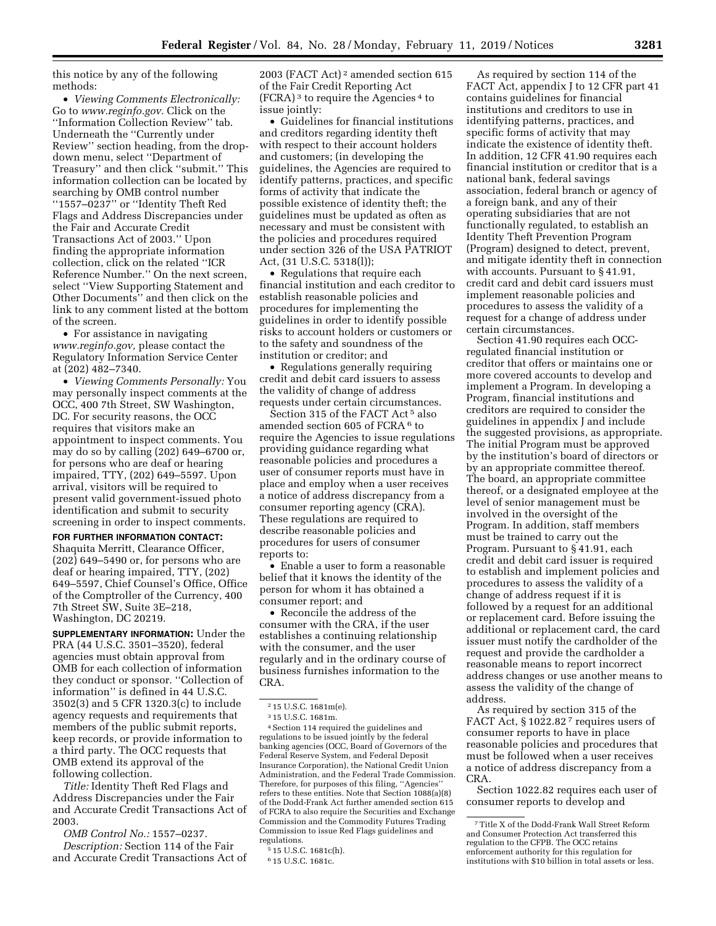this notice by any of the following methods:

• *Viewing Comments Electronically:*  Go to *[www.reginfo.gov.](http://www.reginfo.gov)* Click on the ''Information Collection Review'' tab. Underneath the ''Currently under Review'' section heading, from the dropdown menu, select ''Department of Treasury'' and then click ''submit.'' This information collection can be located by searching by OMB control number ''1557–0237'' or ''Identity Theft Red Flags and Address Discrepancies under the Fair and Accurate Credit Transactions Act of 2003.'' Upon finding the appropriate information collection, click on the related ''ICR Reference Number.'' On the next screen, select ''View Supporting Statement and Other Documents'' and then click on the link to any comment listed at the bottom of the screen.

• For assistance in navigating *[www.reginfo.gov,](http://www.reginfo.gov)* please contact the Regulatory Information Service Center at (202) 482–7340.

• *Viewing Comments Personally:* You may personally inspect comments at the OCC, 400 7th Street, SW Washington, DC. For security reasons, the OCC requires that visitors make an appointment to inspect comments. You may do so by calling (202) 649–6700 or, for persons who are deaf or hearing impaired, TTY, (202) 649–5597. Upon arrival, visitors will be required to present valid government-issued photo identification and submit to security screening in order to inspect comments.

**FOR FURTHER INFORMATION CONTACT:**  Shaquita Merritt, Clearance Officer, (202) 649–5490 or, for persons who are deaf or hearing impaired, TTY, (202) 649–5597, Chief Counsel's Office, Office of the Comptroller of the Currency, 400 7th Street SW, Suite 3E–218, Washington, DC 20219.

**SUPPLEMENTARY INFORMATION:** Under the PRA (44 U.S.C. 3501–3520), federal agencies must obtain approval from OMB for each collection of information they conduct or sponsor. ''Collection of information'' is defined in 44 U.S.C. 3502(3) and 5 CFR 1320.3(c) to include agency requests and requirements that members of the public submit reports, keep records, or provide information to a third party. The OCC requests that OMB extend its approval of the following collection.

*Title:* Identity Theft Red Flags and Address Discrepancies under the Fair and Accurate Credit Transactions Act of 2003.

*OMB Control No.:* 1557–0237. *Description:* Section 114 of the Fair and Accurate Credit Transactions Act of

2003 (FACT Act) 2 amended section 615 of the Fair Credit Reporting Act  $(FCRA)^3$  to require the Agencies<sup>4</sup> to issue jointly:

• Guidelines for financial institutions and creditors regarding identity theft with respect to their account holders and customers; (in developing the guidelines, the Agencies are required to identify patterns, practices, and specific forms of activity that indicate the possible existence of identity theft; the guidelines must be updated as often as necessary and must be consistent with the policies and procedures required under section 326 of the USA PATRIOT Act, (31 U.S.C. 5318(l));

• Regulations that require each financial institution and each creditor to establish reasonable policies and procedures for implementing the guidelines in order to identify possible risks to account holders or customers or to the safety and soundness of the institution or creditor; and

• Regulations generally requiring credit and debit card issuers to assess the validity of change of address requests under certain circumstances.

Section 315 of the FACT Act<sup>5</sup> also amended section 605 of FCRA<sup>6</sup> to require the Agencies to issue regulations providing guidance regarding what reasonable policies and procedures a user of consumer reports must have in place and employ when a user receives a notice of address discrepancy from a consumer reporting agency (CRA). These regulations are required to describe reasonable policies and procedures for users of consumer reports to:

• Enable a user to form a reasonable belief that it knows the identity of the person for whom it has obtained a consumer report; and

• Reconcile the address of the consumer with the CRA, if the user establishes a continuing relationship with the consumer, and the user regularly and in the ordinary course of business furnishes information to the CRA.

4Section 114 required the guidelines and regulations to be issued jointly by the federal banking agencies (OCC, Board of Governors of the Federal Reserve System, and Federal Deposit Insurance Corporation), the National Credit Union Administration, and the Federal Trade Commission. Therefore, for purposes of this filing, ''Agencies'' refers to these entities. Note that Section 1088(a)(8) of the Dodd-Frank Act further amended section 615 of FCRA to also require the Securities and Exchange Commission and the Commodity Futures Trading Commission to issue Red Flags guidelines and regulations.

As required by section 114 of the FACT Act, appendix J to 12 CFR part 41 contains guidelines for financial institutions and creditors to use in identifying patterns, practices, and specific forms of activity that may indicate the existence of identity theft. In addition, 12 CFR 41.90 requires each financial institution or creditor that is a national bank, federal savings association, federal branch or agency of a foreign bank, and any of their operating subsidiaries that are not functionally regulated, to establish an Identity Theft Prevention Program (Program) designed to detect, prevent, and mitigate identity theft in connection with accounts. Pursuant to § 41.91, credit card and debit card issuers must implement reasonable policies and procedures to assess the validity of a request for a change of address under certain circumstances.

Section 41.90 requires each OCCregulated financial institution or creditor that offers or maintains one or more covered accounts to develop and implement a Program. In developing a Program, financial institutions and creditors are required to consider the guidelines in appendix J and include the suggested provisions, as appropriate. The initial Program must be approved by the institution's board of directors or by an appropriate committee thereof. The board, an appropriate committee thereof, or a designated employee at the level of senior management must be involved in the oversight of the Program. In addition, staff members must be trained to carry out the Program. Pursuant to § 41.91, each credit and debit card issuer is required to establish and implement policies and procedures to assess the validity of a change of address request if it is followed by a request for an additional or replacement card. Before issuing the additional or replacement card, the card issuer must notify the cardholder of the request and provide the cardholder a reasonable means to report incorrect address changes or use another means to assess the validity of the change of address.

As required by section 315 of the FACT Act, §1022.82<sup>7</sup> requires users of consumer reports to have in place reasonable policies and procedures that must be followed when a user receives a notice of address discrepancy from a CRA.

Section 1022.82 requires each user of consumer reports to develop and

<sup>2</sup> 15 U.S.C. 1681m(e).

<sup>3</sup> 15 U.S.C. 1681m.

<sup>5</sup> 15 U.S.C. 1681c(h).

<sup>6</sup> 15 U.S.C. 1681c.

<sup>7</sup>Title X of the Dodd-Frank Wall Street Reform and Consumer Protection Act transferred this regulation to the CFPB. The OCC retains enforcement authority for this regulation for institutions with \$10 billion in total assets or less.